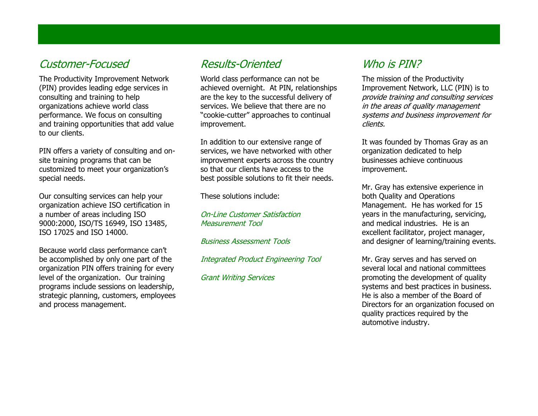### Customer-Focused

The Productivity Improvement Network (PIN) provides leading edge services in consulting and training to help organizations achieve world class performance. We focus on consulting and training opportunities that add value to our clients.

PIN offers a variety of consulting and onsite training programs that can be customized to meet your organization's special needs.

Our consulting services can help your organization achieve ISO certification in a number of areas including ISO 9000:2000, ISO/TS 16949, ISO 13485, ISO 17025 and ISO 14000.

Because world class performance can't be accomplished by only one part of the organization PIN offers training for every level of the organization. Our training programs include sessions on leadership, strategic planning, customers, employees and process management.

## Results-Oriented

World class performance can not be achieved overnight. At PIN, relationships are the key to the successful delivery of services. We believe that there are no "cookie-cutter" approaches to continual improvement.

In addition to our extensive range of services, we have networked with other improvement experts across the country so that our clients have access to the best possible solutions to fit their needs.

These solutions include:

On-Line Customer Satisfaction Measurement Tool

Business Assessment Tools

Integrated Product Engineering Tool

Grant Writing Services

# Who is PIN?

The mission of the Productivity Improvement Network, LLC (PIN) is to provide training and consulting services in the areas of quality management systems and business improvement for clients.

It was founded by Thomas Gray as an organization dedicated to help businesses achieve continuous improvement.

Mr. Gray has extensive experience in both Quality and Operations Management. He has worked for 15 years in the manufacturing, servicing, and medical industries. He is an excellent facilitator, project manager, and designer of learning/training events.

Mr. Gray serves and has served on several local and national committees promoting the development of quality systems and best practices in business. He is also a member of the Board of Directors for an organization focused on quality practices required by the automotive industry.